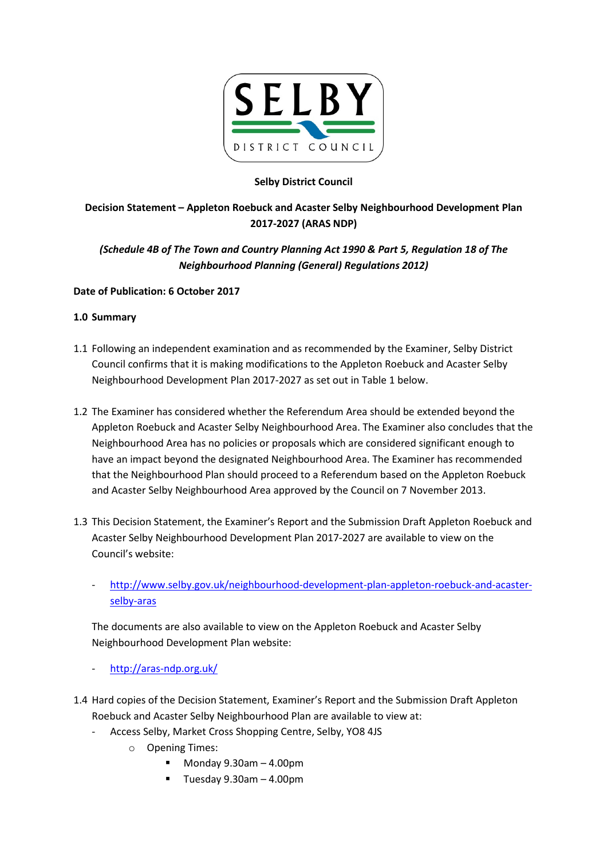

## Selby District Council

## Decision Statement – Appleton Roebuck and Acaster Selby Neighbourhood Development Plan 2017-2027 (ARAS NDP)

# (Schedule 4B of The Town and Country Planning Act 1990 & Part 5, Regulation 18 of The Neighbourhood Planning (General) Regulations 2012)

#### Date of Publication: 6 October 2017

#### 1.0 Summary

- 1.1 Following an independent examination and as recommended by the Examiner, Selby District Council confirms that it is making modifications to the Appleton Roebuck and Acaster Selby Neighbourhood Development Plan 2017-2027 as set out in Table 1 below.
- 1.2 The Examiner has considered whether the Referendum Area should be extended beyond the Appleton Roebuck and Acaster Selby Neighbourhood Area. The Examiner also concludes that the Neighbourhood Area has no policies or proposals which are considered significant enough to have an impact beyond the designated Neighbourhood Area. The Examiner has recommended that the Neighbourhood Plan should proceed to a Referendum based on the Appleton Roebuck and Acaster Selby Neighbourhood Area approved by the Council on 7 November 2013.
- 1.3 This Decision Statement, the Examiner's Report and the Submission Draft Appleton Roebuck and Acaster Selby Neighbourhood Development Plan 2017-2027 are available to view on the Council's website:
	- http://www.selby.gov.uk/neighbourhood-development-plan-appleton-roebuck-and-acasterselby-aras

The documents are also available to view on the Appleton Roebuck and Acaster Selby Neighbourhood Development Plan website:

- http://aras-ndp.org.uk/
- 1.4 Hard copies of the Decision Statement, Examiner's Report and the Submission Draft Appleton Roebuck and Acaster Selby Neighbourhood Plan are available to view at:
	- Access Selby, Market Cross Shopping Centre, Selby, YO8 4JS
		- o Opening Times:
			- $Monday 9.30am 4.00pm$
			- Tuesday 9.30am 4.00pm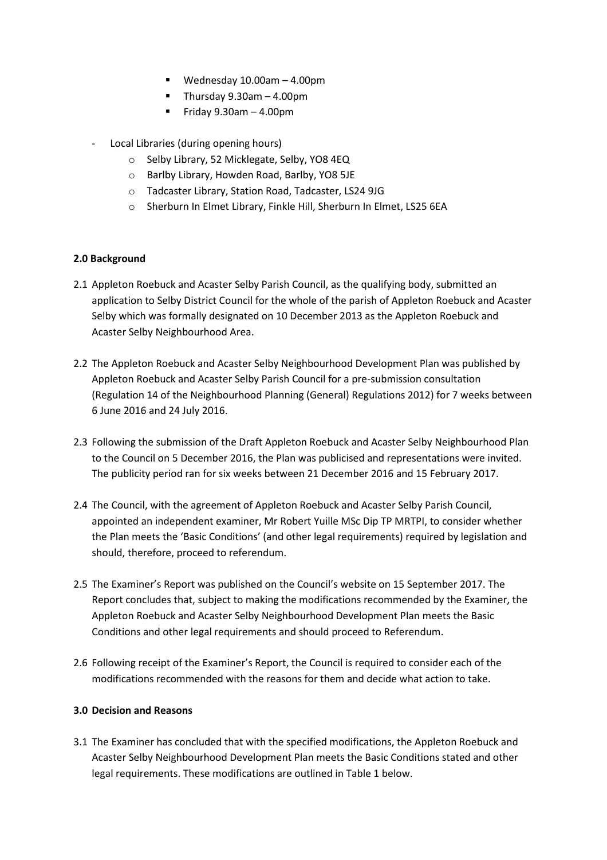- Wednesday 10.00am 4.00pm
- Thursday  $9.30$ am  $-4.00$ pm
- Friday 9.30am 4.00pm
- Local Libraries (during opening hours)
	- o Selby Library, 52 Micklegate, Selby, YO8 4EQ
	- o Barlby Library, Howden Road, Barlby, YO8 5JE
	- o Tadcaster Library, Station Road, Tadcaster, LS24 9JG
	- o Sherburn In Elmet Library, Finkle Hill, Sherburn In Elmet, LS25 6EA

#### 2.0 Background

- 2.1 Appleton Roebuck and Acaster Selby Parish Council, as the qualifying body, submitted an application to Selby District Council for the whole of the parish of Appleton Roebuck and Acaster Selby which was formally designated on 10 December 2013 as the Appleton Roebuck and Acaster Selby Neighbourhood Area.
- 2.2 The Appleton Roebuck and Acaster Selby Neighbourhood Development Plan was published by Appleton Roebuck and Acaster Selby Parish Council for a pre-submission consultation (Regulation 14 of the Neighbourhood Planning (General) Regulations 2012) for 7 weeks between 6 June 2016 and 24 July 2016.
- 2.3 Following the submission of the Draft Appleton Roebuck and Acaster Selby Neighbourhood Plan to the Council on 5 December 2016, the Plan was publicised and representations were invited. The publicity period ran for six weeks between 21 December 2016 and 15 February 2017.
- 2.4 The Council, with the agreement of Appleton Roebuck and Acaster Selby Parish Council, appointed an independent examiner, Mr Robert Yuille MSc Dip TP MRTPI, to consider whether the Plan meets the 'Basic Conditions' (and other legal requirements) required by legislation and should, therefore, proceed to referendum.
- 2.5 The Examiner's Report was published on the Council's website on 15 September 2017. The Report concludes that, subject to making the modifications recommended by the Examiner, the Appleton Roebuck and Acaster Selby Neighbourhood Development Plan meets the Basic Conditions and other legal requirements and should proceed to Referendum.
- 2.6 Following receipt of the Examiner's Report, the Council is required to consider each of the modifications recommended with the reasons for them and decide what action to take.

#### 3.0 Decision and Reasons

3.1 The Examiner has concluded that with the specified modifications, the Appleton Roebuck and Acaster Selby Neighbourhood Development Plan meets the Basic Conditions stated and other legal requirements. These modifications are outlined in Table 1 below.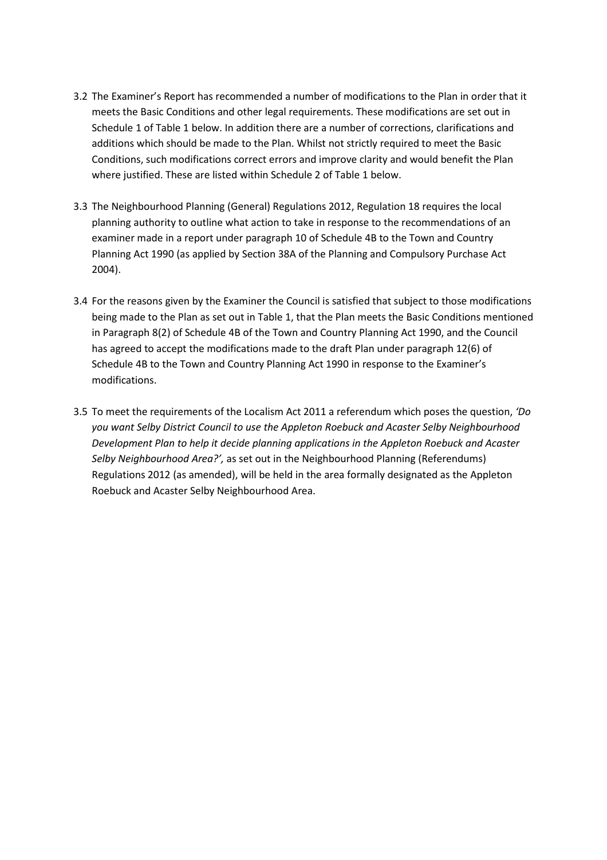- 3.2 The Examiner's Report has recommended a number of modifications to the Plan in order that it meets the Basic Conditions and other legal requirements. These modifications are set out in Schedule 1 of Table 1 below. In addition there are a number of corrections, clarifications and additions which should be made to the Plan. Whilst not strictly required to meet the Basic Conditions, such modifications correct errors and improve clarity and would benefit the Plan where justified. These are listed within Schedule 2 of Table 1 below.
- 3.3 The Neighbourhood Planning (General) Regulations 2012, Regulation 18 requires the local planning authority to outline what action to take in response to the recommendations of an examiner made in a report under paragraph 10 of Schedule 4B to the Town and Country Planning Act 1990 (as applied by Section 38A of the Planning and Compulsory Purchase Act 2004).
- 3.4 For the reasons given by the Examiner the Council is satisfied that subject to those modifications being made to the Plan as set out in Table 1, that the Plan meets the Basic Conditions mentioned in Paragraph 8(2) of Schedule 4B of the Town and Country Planning Act 1990, and the Council has agreed to accept the modifications made to the draft Plan under paragraph 12(6) of Schedule 4B to the Town and Country Planning Act 1990 in response to the Examiner's modifications.
- 3.5 To meet the requirements of the Localism Act 2011 a referendum which poses the question, 'Do you want Selby District Council to use the Appleton Roebuck and Acaster Selby Neighbourhood Development Plan to help it decide planning applications in the Appleton Roebuck and Acaster Selby Neighbourhood Area?', as set out in the Neighbourhood Planning (Referendums) Regulations 2012 (as amended), will be held in the area formally designated as the Appleton Roebuck and Acaster Selby Neighbourhood Area.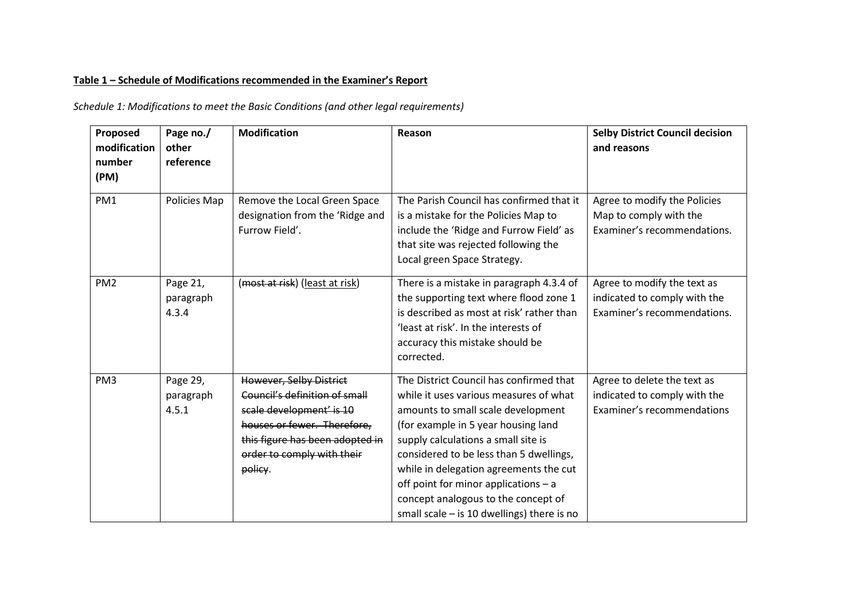### Table 1 – Schedule of Modifications recommended in the Examiner's Report

Schedule 1: Modifications to meet the Basic Conditions (and other legal requirements)

| Proposed<br>modification<br>number<br>(PM) | Page no./<br>other<br>reference | <b>Modification</b>                                                                                                                                                                             | Reason                                                                                                                                                                                                                                                                                                                                                                                                                    | <b>Selby District Council decision</b><br>and reasons                                      |
|--------------------------------------------|---------------------------------|-------------------------------------------------------------------------------------------------------------------------------------------------------------------------------------------------|---------------------------------------------------------------------------------------------------------------------------------------------------------------------------------------------------------------------------------------------------------------------------------------------------------------------------------------------------------------------------------------------------------------------------|--------------------------------------------------------------------------------------------|
| PM1                                        | Policies Map                    | Remove the Local Green Space<br>designation from the 'Ridge and<br>Furrow Field'.                                                                                                               | The Parish Council has confirmed that it<br>is a mistake for the Policies Map to<br>include the 'Ridge and Furrow Field' as<br>that site was rejected following the<br>Local green Space Strategy.                                                                                                                                                                                                                        | Agree to modify the Policies<br>Map to comply with the<br>Examiner's recommendations.      |
| PM <sub>2</sub>                            | Page 21,<br>paragraph<br>4.3.4  | (most at risk) (least at risk)                                                                                                                                                                  | There is a mistake in paragraph 4.3.4 of<br>the supporting text where flood zone 1<br>is described as most at risk' rather than<br>'least at risk'. In the interests of<br>accuracy this mistake should be<br>corrected.                                                                                                                                                                                                  | Agree to modify the text as<br>indicated to comply with the<br>Examiner's recommendations. |
| PM <sub>3</sub>                            | Page 29,<br>paragraph<br>4.5.1  | However, Selby District<br>Council's definition of small<br>scale development' is 10<br>houses or fewer. Therefore,<br>this figure has been adopted in<br>order to comply with their<br>policy. | The District Council has confirmed that<br>while it uses various measures of what<br>amounts to small scale development<br>(for example in 5 year housing land<br>supply calculations a small site is<br>considered to be less than 5 dwellings,<br>while in delegation agreements the cut<br>off point for minor applications - a<br>concept analogous to the concept of<br>small scale $-$ is 10 dwellings) there is no | Agree to delete the text as<br>indicated to comply with the<br>Examiner's recommendations  |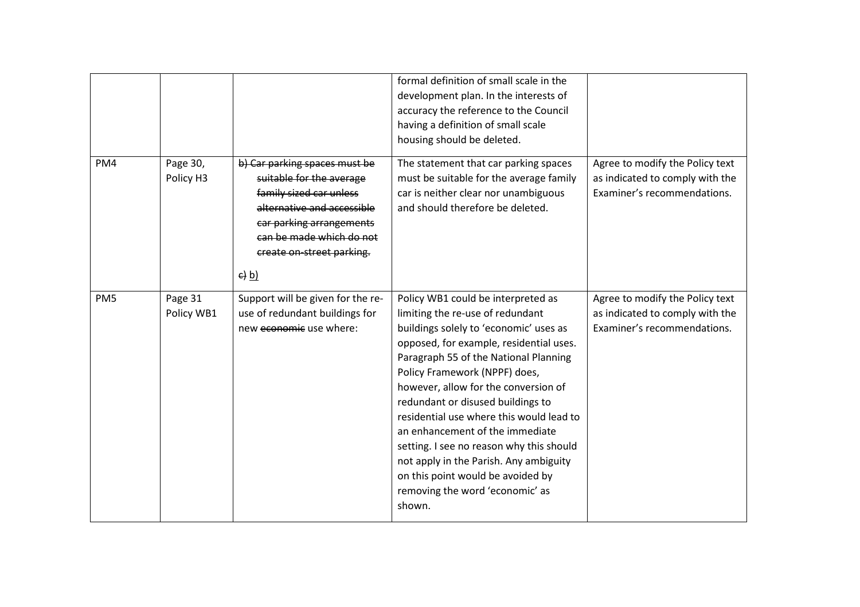|                 |                       |                                                                                                                                                                                                                                       | formal definition of small scale in the<br>development plan. In the interests of<br>accuracy the reference to the Council<br>having a definition of small scale<br>housing should be deleted.                                                                                                                                                                                                                                                                                                                                                                             |                                                                                                   |
|-----------------|-----------------------|---------------------------------------------------------------------------------------------------------------------------------------------------------------------------------------------------------------------------------------|---------------------------------------------------------------------------------------------------------------------------------------------------------------------------------------------------------------------------------------------------------------------------------------------------------------------------------------------------------------------------------------------------------------------------------------------------------------------------------------------------------------------------------------------------------------------------|---------------------------------------------------------------------------------------------------|
| PM4             | Page 30,<br>Policy H3 | b) Car parking spaces must be<br>suitable for the average<br>family sized car unless<br>alternative and accessible<br>car parking arrangements<br>can be made which do not<br>create on-street parking.<br>$\left(\frac{e}{b}\right)$ | The statement that car parking spaces<br>must be suitable for the average family<br>car is neither clear nor unambiguous<br>and should therefore be deleted.                                                                                                                                                                                                                                                                                                                                                                                                              | Agree to modify the Policy text<br>as indicated to comply with the<br>Examiner's recommendations. |
| PM <sub>5</sub> | Page 31<br>Policy WB1 | Support will be given for the re-<br>use of redundant buildings for<br>new economic use where:                                                                                                                                        | Policy WB1 could be interpreted as<br>limiting the re-use of redundant<br>buildings solely to 'economic' uses as<br>opposed, for example, residential uses.<br>Paragraph 55 of the National Planning<br>Policy Framework (NPPF) does,<br>however, allow for the conversion of<br>redundant or disused buildings to<br>residential use where this would lead to<br>an enhancement of the immediate<br>setting. I see no reason why this should<br>not apply in the Parish. Any ambiguity<br>on this point would be avoided by<br>removing the word 'economic' as<br>shown. | Agree to modify the Policy text<br>as indicated to comply with the<br>Examiner's recommendations. |